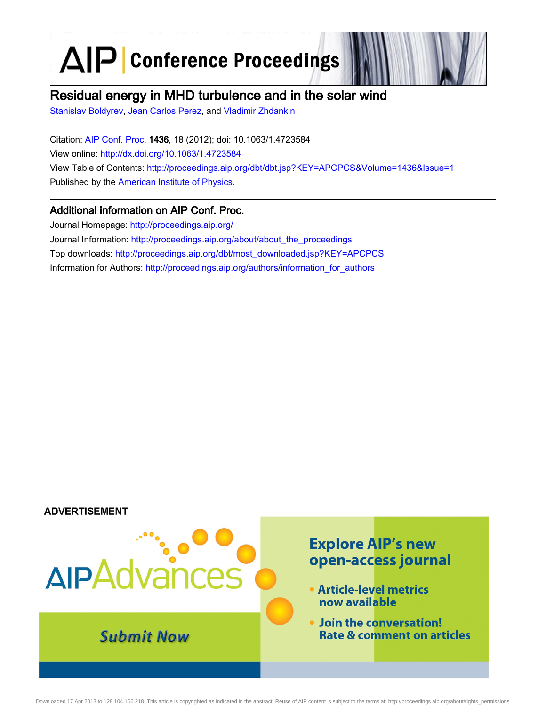AIP Conference Proceedings

## Residual energy in MHD turbulence and in the solar wind

[Stanislav Boldyrev](http://scitation.aip.org/vsearch/servlet/VerityServlet?KEY=ALL&uSeDeFaUlTkEy=TrUe&possible1=Stanislav Boldyrev&possible1zone=author&maxdisp=25&smode=strresults&aqs=true&ver=pdfcov), [Jean Carlos Perez,](http://scitation.aip.org/vsearch/servlet/VerityServlet?KEY=ALL&uSeDeFaUlTkEy=TrUe&possible1=Jean Carlos Perez&possible1zone=author&maxdisp=25&smode=strresults&aqs=true&ver=pdfcov) and [Vladimir Zhdankin](http://scitation.aip.org/vsearch/servlet/VerityServlet?KEY=ALL&uSeDeFaUlTkEy=TrUe&possible1=Vladimir Zhdankin&possible1zone=author&maxdisp=25&smode=strresults&aqs=true&ver=pdfcov)

Citation: [AIP Conf. Proc.](http://proceedings.aip.org/?ver=pdfcov) 1436, 18 (2012); doi: 10.1063/1.4723584 View online: [http://dx.doi.org/10.1063/1.4723584](http://link.aip.org/link/doi/10.1063/1.4723584?ver=pdfcov) View Table of Contents: [http://proceedings.aip.org/dbt/dbt.jsp?KEY=APCPCS&Volume=1436&Issue=1](http://proceedings.aip.org/dbt/dbt.jsp?KEY=APCPCS&Volume=1436&Issue=1&ver=pdfcov) Published by the [American Institute of Physics.](http://www.aip.org/?ver=pdfcov)

### Additional information on AIP Conf. Proc.

Journal Homepage: [http://proceedings.aip.org/](http://proceedings.aip.org/?ver=pdfcov) Journal Information: [http://proceedings.aip.org/about/about\\_the\\_proceedings](http://proceedings.aip.org/about/about_the_proceedings?ver=pdfcov) Top downloads: [http://proceedings.aip.org/dbt/most\\_downloaded.jsp?KEY=APCPCS](http://proceedings.aip.org/dbt/most_downloaded.jsp?KEY=APCPCS&ver=pdfcov) Information for Authors: [http://proceedings.aip.org/authors/information\\_for\\_authors](http://proceedings.aip.org/authors/information_for_authors?ver=pdfcov)

#### **ADVERTISEMENT**

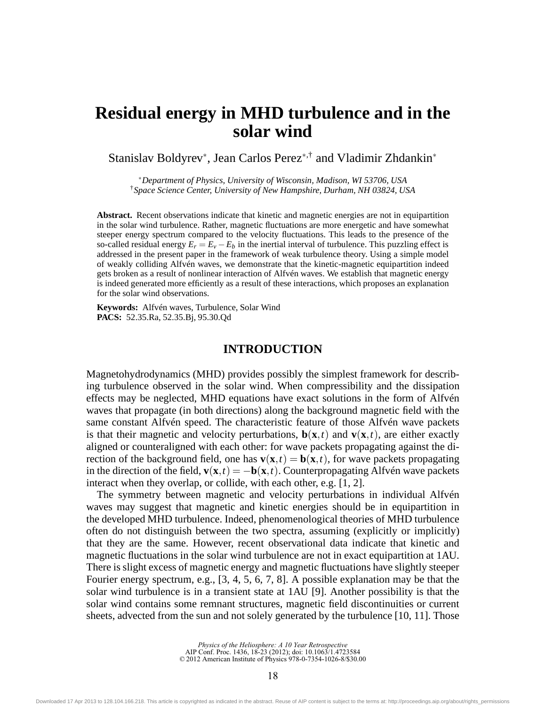# **Residual energy in MHD turbulence and in the solar wind**

Stanislav Boldyrev<sup>∗</sup> , Jean Carlos Perez∗,† and Vladimir Zhdankin<sup>∗</sup>

∗*Department of Physics, University of Wisconsin, Madison, WI 53706, USA* †*Space Science Center, University of New Hampshire, Durham, NH 03824, USA*

**Abstract.** Recent observations indicate that kinetic and magnetic energies are not in equipartition in the solar wind turbulence. Rather, magnetic fluctuations are more energetic and have somewhat steeper energy spectrum compared to the velocity fluctuations. This leads to the presence of the so-called residual energy  $E_r = E_v - E_b$  in the inertial interval of turbulence. This puzzling effect is addressed in the present paper in the framework of weak turbulence theory. Using a simple model of weakly colliding Alfvén waves, we demonstrate that the kinetic-magnetic equipartition indeed gets broken as a result of nonlinear interaction of Alfvén waves. We establish that magnetic energy is indeed generated more efficiently as a result of these interactions, which proposes an explanation for the solar wind observations.

**Keywords:** Alfvén waves, Turbulence, Solar Wind **PACS:** 52.35.Ra, 52.35.Bj, 95.30.Qd

#### **INTRODUCTION**

Magnetohydrodynamics (MHD) provides possibly the simplest framework for describing turbulence observed in the solar wind. When compressibility and the dissipation effects may be neglected, MHD equations have exact solutions in the form of Alfvén waves that propagate (in both directions) along the background magnetic field with the same constant Alfvén speed. The characteristic feature of those Alfvén wave packets is that their magnetic and velocity perturbations,  $\mathbf{b}(\mathbf{x},t)$  and  $\mathbf{v}(\mathbf{x},t)$ , are either exactly aligned or counteraligned with each other: for wave packets propagating against the direction of the background field, one has  $\mathbf{v}(\mathbf{x},t) = \mathbf{b}(\mathbf{x},t)$ , for wave packets propagating in the direction of the field,  $\mathbf{v}(\mathbf{x},t) = -\mathbf{b}(\mathbf{x},t)$ . Counterpropagating Alfvén wave packets interact when they overlap, or collide, with each other, e.g. [1, 2].

The symmetry between magnetic and velocity perturbations in individual Alfvén waves may suggest that magnetic and kinetic energies should be in equipartition in the developed MHD turbulence. Indeed, phenomenological theories of MHD turbulence often do not distinguish between the two spectra, assuming (explicitly or implicitly) that they are the same. However, recent observational data indicate that kinetic and magnetic fluctuations in the solar wind turbulence are not in exact equipartition at 1AU. There is slight excess of magnetic energy and magnetic fluctuations have slightly steeper Fourier energy spectrum, e.g., [3, 4, 5, 6, 7, 8]. A possible explanation may be that the solar wind turbulence is in a transient state at 1AU [9]. Another possibility is that the solar wind contains some remnant structures, magnetic field discontinuities or current sheets, advected from the sun and not solely generated by the turbulence [10, 11]. Those

> *Physics of the Heliosphere: A 10 Year Retrospective* AIP Conf. Proc. 1436, 18-23 (2012); doi: 10.1063/1.4723584 © 2012 American Institute of Physics 978-0-7354-1026-8/\$30.00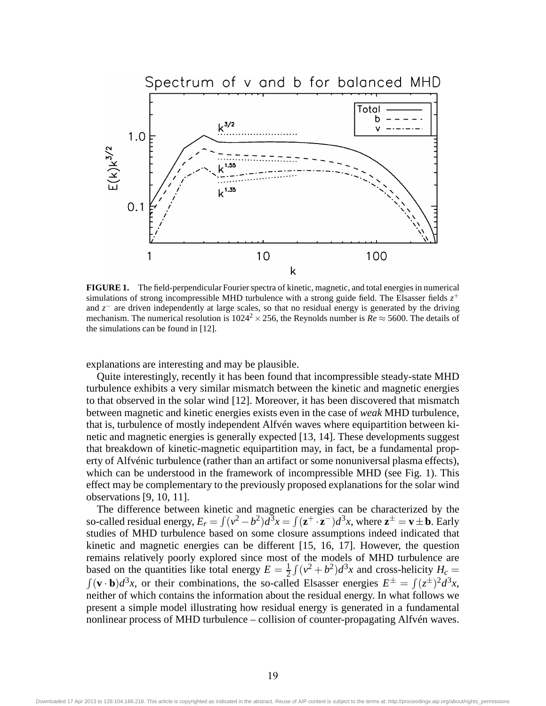

**FIGURE 1.** The field-perpendicular Fourier spectra of kinetic, magnetic, and total energies in numerical simulations of strong incompressible MHD turbulence with a strong guide field. The Elsasser fields  $z^+$ and *z*<sup>−</sup> are driven independently at large scales, so that no residual energy is generated by the driving mechanism. The numerical resolution is  $1024^2 \times 256$ , the Reynolds number is  $Re \approx 5600$ . The details of the simulations can be found in [12].

explanations are interesting and may be plausible.

Quite interestingly, recently it has been found that incompressible steady-state MHD turbulence exhibits a very similar mismatch between the kinetic and magnetic energies to that observed in the solar wind [12]. Moreover, it has been discovered that mismatch between magnetic and kinetic energies exists even in the case of *weak* MHD turbulence, that is, turbulence of mostly independent Alfvén waves where equipartition between kinetic and magnetic energies is generally expected [13, 14]. These developments suggest that breakdown of kinetic-magnetic equipartition may, in fact, be a fundamental property of Alfvénic turbulence (rather than an artifact or some nonuniversal plasma effects), which can be understood in the framework of incompressible MHD (see Fig. 1). This effect may be complementary to the previously proposed explanations for the solar wind observations [9, 10, 11].

The difference between kinetic and magnetic energies can be characterized by the so-called residual energy,  $E_r = \int (v^2 - b^2) d^3x = \int (z^+ \cdot z^-) d^3x$ , where  $z^{\pm} = v \pm b$ . Early studies of MHD turbulence based on some closure assumptions indeed indicated that kinetic and magnetic energies can be different [15, 16, 17]. However, the question remains relatively poorly explored since most of the models of MHD turbulence are based on the quantities like total energy  $E = \frac{1}{2}$  $\frac{1}{2} \int (v^2 + b^2) d^3x$  and cross-helicity  $H_c =$  $\int (\mathbf{v} \cdot \mathbf{b}) d^3x$ , or their combinations, the so-called Elsasser energies  $E^{\pm} = \int (z^{\pm})^2 d^3x$ , neither of which contains the information about the residual energy. In what follows we present a simple model illustrating how residual energy is generated in a fundamental nonlinear process of MHD turbulence – collision of counter-propagating Alfvén waves.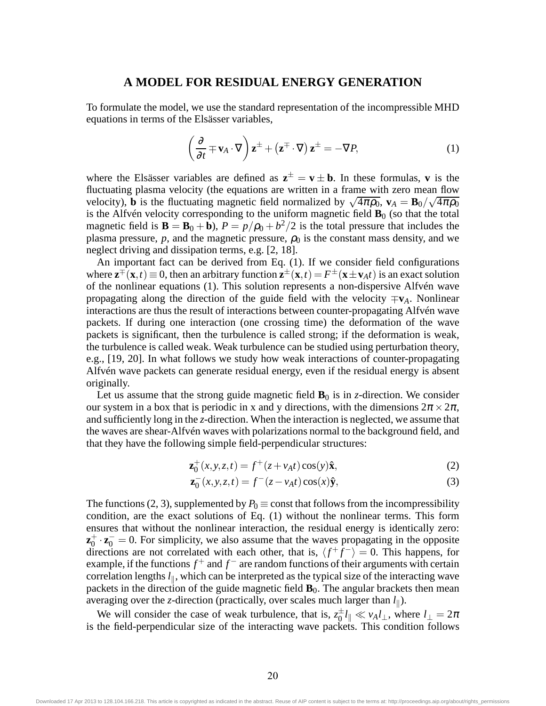#### **A MODEL FOR RESIDUAL ENERGY GENERATION**

To formulate the model, we use the standard representation of the incompressible MHD equations in terms of the Elsässer variables,

$$
\left(\frac{\partial}{\partial t} \mp \mathbf{v}_A \cdot \nabla\right) \mathbf{z}^{\pm} + \left(\mathbf{z}^{\mp} \cdot \nabla\right) \mathbf{z}^{\pm} = -\nabla P,\tag{1}
$$

where the Elsässer variables are defined as  $z^{\pm} = v \pm b$ . In these formulas, **v** is the fluctuating plasma velocity (the equations are written in a frame with zero mean flow velocity), **b** is the fluctuating magnetic field normalized by  $\sqrt{4\pi\rho_0}$ ,  $\mathbf{v}_A = \mathbf{B}_0 / \sqrt{4\pi\rho_0}$ is the Alfvén velocity corresponding to the uniform magnetic field  $\mathbf{B}_0$  (so that the total magnetic field is  $\mathbf{B} = \mathbf{B}_0 + \mathbf{b}$ ),  $P = p/p_0 + b^2/2$  is the total pressure that includes the plasma pressure,  $p$ , and the magnetic pressure,  $\rho_0$  is the constant mass density, and we neglect driving and dissipation terms, e.g. [2, 18].

An important fact can be derived from Eq. (1). If we consider field configurations where  $\mathbf{z}^{\pm}(\mathbf{x},t) \equiv 0$ , then an arbitrary function  $\mathbf{z}^{\pm}(\mathbf{x},t) = F^{\pm}(\mathbf{x} \pm \mathbf{v}_A t)$  is an exact solution of the nonlinear equations (1). This solution represents a non-dispersive Alfvén wave propagating along the direction of the guide field with the velocity  $\mp \mathbf{v}_A$ . Nonlinear interactions are thus the result of interactions between counter-propagating Alfvén wave packets. If during one interaction (one crossing time) the deformation of the wave packets is significant, then the turbulence is called strong; if the deformation is weak, the turbulence is called weak. Weak turbulence can be studied using perturbation theory, e.g., [19, 20]. In what follows we study how weak interactions of counter-propagating Alfvén wave packets can generate residual energy, even if the residual energy is absent originally.

Let us assume that the strong guide magnetic field  $\mathbf{B}_0$  is in *z*-direction. We consider our system in a box that is periodic in x and y directions, with the dimensions  $2\pi \times 2\pi$ , and sufficiently long in the *z*-direction. When the interaction is neglected, we assume that the waves are shear-Alfvén waves with polarizations normal to the background field, and that they have the following simple field-perpendicular structures:

$$
\mathbf{z}_0^+(x, y, z, t) = f^+(z + v_A t) \cos(y) \hat{\mathbf{x}},\tag{2}
$$

$$
\mathbf{z}_0^-(x, y, z, t) = f^-(z - v_A t) \cos(x) \hat{\mathbf{y}},\tag{3}
$$

The functions (2, 3), supplemented by  $P_0 \equiv$  const that follows from the incompressibility condition, are the exact solutions of Eq. (1) without the nonlinear terms. This form ensures that without the nonlinear interaction, the residual energy is identically zero:  $z_0^+$  $\mathbf{z}_0^+ \cdot \mathbf{z}_0^- = 0$ . For simplicity, we also assume that the waves propagating in the opposite directions are not correlated with each other, that is,  $\langle f^+ \bar{f}^- \rangle = 0$ . This happens, for example, if the functions  $f^+$  and  $f^-$  are random functions of their arguments with certain correlation lengths  $l_{\parallel}$ , which can be interpreted as the typical size of the interacting wave packets in the direction of the guide magnetic field  $\mathbf{B}_0$ . The angular brackets then mean averaging over the *z*-direction (practically, over scales much larger than  $l_{\parallel}$ ).

We will consider the case of weak turbulence, that is,  $z_0^{\pm}l_{\parallel} \ll v_A l_{\perp}$ , where  $l_{\perp} = 2\pi$ is the field-perpendicular size of the interacting wave packets. This condition follows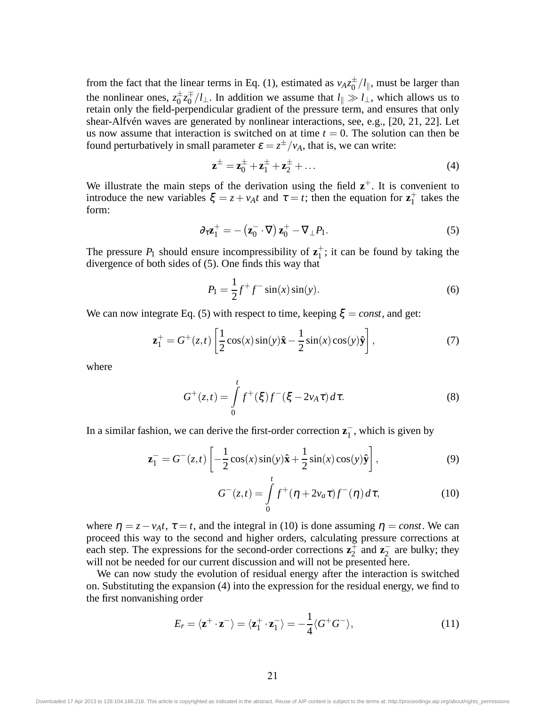from the fact that the linear terms in Eq. (1), estimated as  $v_A z_0^{\pm}/l_{\parallel}$ , must be larger than the nonlinear ones,  $z_0^{\pm}z_0^{\mp}/l_{\perp}$ . In addition we assume that  $l_{\parallel} \gg l_{\perp}$ , which allows us to retain only the field-perpendicular gradient of the pressure term, and ensures that only shear-Alfvén waves are generated by nonlinear interactions, see, e.g., [20, 21, 22]. Let us now assume that interaction is switched on at time  $t = 0$ . The solution can then be found perturbatively in small parameter  $\varepsilon = z^{\pm}/v_A$ , that is, we can write:

$$
\mathbf{z}^{\pm} = \mathbf{z}_0^{\pm} + \mathbf{z}_1^{\pm} + \mathbf{z}_2^{\pm} + \dots
$$
 (4)

We illustrate the main steps of the derivation using the field  $z^+$ . It is convenient to introduce the new variables  $\xi = z + v_A t$  and  $\tau = t$ ; then the equation for  $z_1^+$  $_1^+$  takes the form:

$$
\partial_{\tau} \mathbf{z}_1^+ = -(\mathbf{z}_0^- \cdot \nabla) \mathbf{z}_0^+ - \nabla_{\perp} P_1. \tag{5}
$$

The pressure  $P_1$  should ensure incompressibility of  $z_1^+$  $_1^+$ ; it can be found by taking the divergence of both sides of (5). One finds this way that

$$
P_1 = \frac{1}{2}f^+f^- \sin(x)\sin(y). \tag{6}
$$

We can now integrate Eq. (5) with respect to time, keeping  $\xi = const$ , and get:

$$
\mathbf{z}_1^+ = G^+(z,t) \left[ \frac{1}{2} \cos(x) \sin(y) \hat{\mathbf{x}} - \frac{1}{2} \sin(x) \cos(y) \hat{\mathbf{y}} \right],\tag{7}
$$

where

$$
G^{+}(z,t) = \int_{0}^{t} f^{+}(\xi) f^{-}(\xi - 2v_A \tau) d\tau.
$$
 (8)

In a similar fashion, we can derive the first-order correction  $z_1^-$ , which is given by

$$
\mathbf{z}_1^- = G^-(z,t) \left[ -\frac{1}{2}\cos(x)\sin(y)\hat{\mathbf{x}} + \frac{1}{2}\sin(x)\cos(y)\hat{\mathbf{y}} \right],\tag{9}
$$

$$
G^{-}(z,t) = \int_{0}^{t} f^{+}(\eta + 2v_{a}\tau) f^{-}(\eta) d\tau,
$$
 (10)

where  $\eta = z - v_A t$ ,  $\tau = t$ , and the integral in (10) is done assuming  $\eta = const$ . We can proceed this way to the second and higher orders, calculating pressure corrections at each step. The expressions for the second-order corrections  $z_2^{\pm}$  $\frac{1}{2}$  and  $\mathbf{z}_2^-$  are bulky; they will not be needed for our current discussion and will not be presented here.

We can now study the evolution of residual energy after the interaction is switched on. Substituting the expansion (4) into the expression for the residual energy, we find to the first nonvanishing order

$$
E_r = \langle \mathbf{z}^+ \cdot \mathbf{z}^- \rangle = \langle \mathbf{z}_1^+ \cdot \mathbf{z}_1^- \rangle = -\frac{1}{4} \langle G^+ G^- \rangle,\tag{11}
$$

Downloaded 17 Apr 2013 to 128.104.166.218. This article is copyrighted as indicated in the abstract. Reuse of AIP content is subject to the terms at: http://proceedings.aip.org/about/rights\_permissions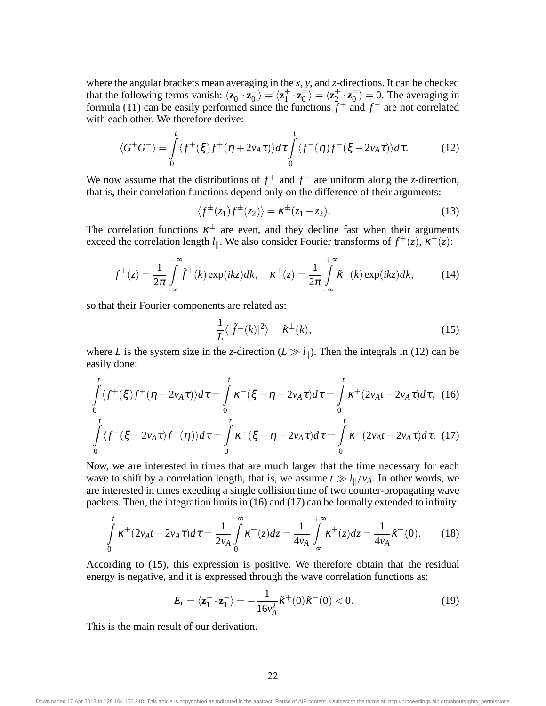where the angular brackets mean averaging in the *x*, *y*, and *z*-directions. It can be checked that the following terms vanish:  $\langle \mathbf{z}_0^+ \rangle$  $\langle \mathbf{z}_0^+, \mathbf{z}_0^- \rangle = \langle \mathbf{z}_1^{\pm} \cdot \mathbf{z}_0^{\mp} \rangle = \langle \mathbf{z}_2^{\pm} \cdot \mathbf{z}_0^{\mp} \rangle = 0$ . The averaging in formula (11) can be easily performed since the functions  $f^+$  and  $f^-$  are not correlated with each other. We therefore derive:

$$
\langle G^+G^-\rangle = \int\limits_0^t \langle f^+(\xi)f^+(\eta + 2v_A\tau)\rangle d\tau \int\limits_0^t \langle f^-(\eta)f^-(\xi - 2v_A\tau)\rangle d\tau.
$$
 (12)

We now assume that the distributions of  $f^+$  and  $f^-$  are uniform along the *z*-direction, that is, their correlation functions depend only on the difference of their arguments:

$$
\langle f^{\pm}(z_1)f^{\pm}(z_2)\rangle = \kappa^{\pm}(z_1 - z_2). \tag{13}
$$

The correlation functions  $\kappa^{\pm}$  are even, and they decline fast when their arguments exceed the correlation length  $l_{\parallel}$ . We also consider Fourier transforms of  $f^{\pm}(z)$ ,  $\kappa^{\pm}(z)$ :

$$
f^{\pm}(z) = \frac{1}{2\pi} \int_{-\infty}^{+\infty} \tilde{f}^{\pm}(k) \exp(ikz) dk, \quad \kappa^{\pm}(z) = \frac{1}{2\pi} \int_{-\infty}^{+\infty} \tilde{\kappa}^{\pm}(k) \exp(ikz) dk, \tag{14}
$$

so that their Fourier components are related as:

$$
\frac{1}{L}\langle|\tilde{f}^{\pm}(k)|^2\rangle = \tilde{\kappa}^{\pm}(k),\tag{15}
$$

where *L* is the system size in the *z*-direction  $(L \gg l_{\parallel})$ . Then the integrals in (12) can be easily done:

$$
\int_{0}^{t} \langle f^{+}(\xi)f^{+}(\eta + 2v_{A}\tau) \rangle d\tau = \int_{0}^{t} \kappa^{+}(\xi - \eta - 2v_{A}\tau) d\tau = \int_{0}^{t} \kappa^{+} (2v_{A}t - 2v_{A}\tau) d\tau, (16)
$$
\n
$$
\int_{0}^{t} \langle f^{-}(\xi - 2v_{A}\tau)f^{-}(\eta) \rangle d\tau = \int_{0}^{t} \kappa^{-} (\xi - \eta - 2v_{A}\tau) d\tau = \int_{0}^{t} \kappa^{-} (2v_{A}t - 2v_{A}\tau) d\tau. (17)
$$

Now, we are interested in times that are much larger that the time necessary for each wave to shift by a correlation length, that is, we assume  $t \gg l_{\parallel}/v_A$ . In other words, we are interested in times exeeding a single collision time of two counter-propagating wave packets. Then, the integration limits in (16) and (17) can be formally extended to infinity:

$$
\int_{0}^{t} \kappa^{\pm} (2v_{A}t - 2v_{A}\tau)d\tau = \frac{1}{2v_{A}} \int_{0}^{\infty} \kappa^{\pm}(z)dz = \frac{1}{4v_{A}} \int_{-\infty}^{+\infty} \kappa^{\pm}(z)dz = \frac{1}{4v_{A}} \tilde{\kappa}^{\pm}(0). \tag{18}
$$

According to (15), this expression is positive. We therefore obtain that the residual energy is negative, and it is expressed through the wave correlation functions as:

$$
E_r = \langle \mathbf{z}_1^+ \cdot \mathbf{z}_1^- \rangle = -\frac{1}{16v_A^2} \tilde{\kappa}^+(0) \tilde{\kappa}^-(0) < 0. \tag{19}
$$

This is the main result of our derivation.

Downloaded 17 Apr 2013 to 128.104.166.218. This article is copyrighted as indicated in the abstract. Reuse of AIP content is subject to the terms at: http://proceedings.aip.org/about/rights\_permissions